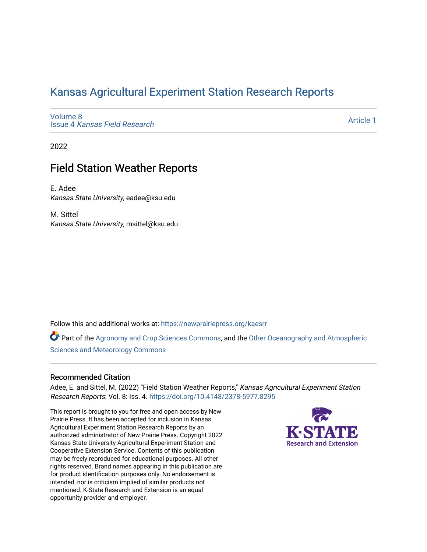# [Kansas Agricultural Experiment Station Research Reports](https://newprairiepress.org/kaesrr)

[Volume 8](https://newprairiepress.org/kaesrr/vol8) Issue 4 [Kansas Field Research](https://newprairiepress.org/kaesrr/vol8/iss4) 

[Article 1](https://newprairiepress.org/kaesrr/vol8/iss4/1) 

2022

# Field Station Weather Reports

E. Adee Kansas State University, eadee@ksu.edu

M. Sittel Kansas State University, msittel@ksu.edu

Follow this and additional works at: [https://newprairiepress.org/kaesrr](https://newprairiepress.org/kaesrr?utm_source=newprairiepress.org%2Fkaesrr%2Fvol8%2Fiss4%2F1&utm_medium=PDF&utm_campaign=PDFCoverPages) 

Part of the [Agronomy and Crop Sciences Commons,](https://network.bepress.com/hgg/discipline/103?utm_source=newprairiepress.org%2Fkaesrr%2Fvol8%2Fiss4%2F1&utm_medium=PDF&utm_campaign=PDFCoverPages) and the [Other Oceanography and Atmospheric](https://network.bepress.com/hgg/discipline/192?utm_source=newprairiepress.org%2Fkaesrr%2Fvol8%2Fiss4%2F1&utm_medium=PDF&utm_campaign=PDFCoverPages) [Sciences and Meteorology Commons](https://network.bepress.com/hgg/discipline/192?utm_source=newprairiepress.org%2Fkaesrr%2Fvol8%2Fiss4%2F1&utm_medium=PDF&utm_campaign=PDFCoverPages) 

#### Recommended Citation

Adee, E. and Sittel, M. (2022) "Field Station Weather Reports," Kansas Agricultural Experiment Station Research Reports: Vol. 8: Iss. 4.<https://doi.org/10.4148/2378-5977.8295>

This report is brought to you for free and open access by New Prairie Press. It has been accepted for inclusion in Kansas Agricultural Experiment Station Research Reports by an authorized administrator of New Prairie Press. Copyright 2022 Kansas State University Agricultural Experiment Station and Cooperative Extension Service. Contents of this publication may be freely reproduced for educational purposes. All other rights reserved. Brand names appearing in this publication are for product identification purposes only. No endorsement is intended, nor is criticism implied of similar products not mentioned. K-State Research and Extension is an equal opportunity provider and employer.

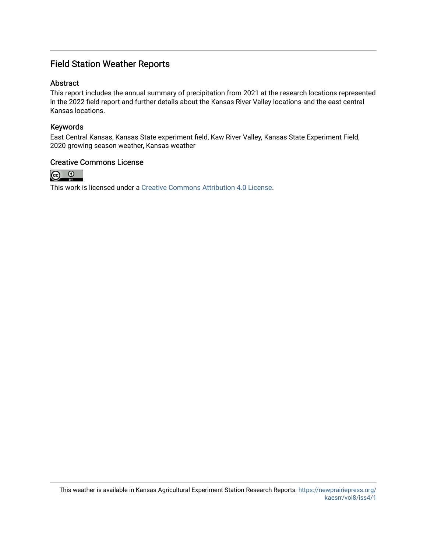### Field Station Weather Reports

#### **Abstract**

This report includes the annual summary of precipitation from 2021 at the research locations represented in the 2022 field report and further details about the Kansas River Valley locations and the east central Kansas locations.

#### Keywords

East Central Kansas, Kansas State experiment field, Kaw River Valley, Kansas State Experiment Field, 2020 growing season weather, Kansas weather

#### Creative Commons License



This work is licensed under a [Creative Commons Attribution 4.0 License](https://creativecommons.org/licenses/by/4.0/).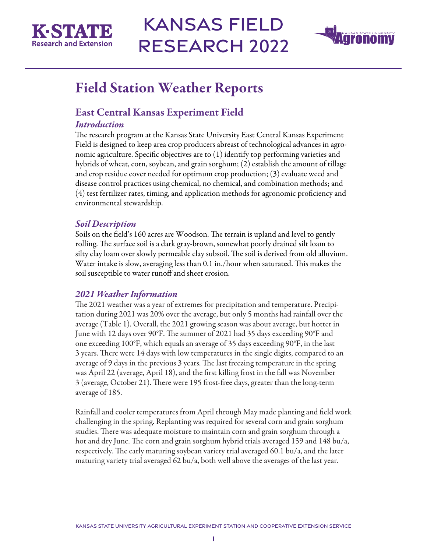



# Field Station Weather Reports

# East Central Kansas Experiment Field

#### *Introduction*

The research program at the Kansas State University East Central Kansas Experiment Field is designed to keep area crop producers abreast of technological advances in agronomic agriculture. Specific objectives are to (1) identify top performing varieties and hybrids of wheat, corn, soybean, and grain sorghum; (2) establish the amount of tillage and crop residue cover needed for optimum crop production; (3) evaluate weed and disease control practices using chemical, no chemical, and combination methods; and (4) test fertilizer rates, timing, and application methods for agronomic proficiency and environmental stewardship.

#### *Soil Description*

Soils on the field's 160 acres are Woodson. The terrain is upland and level to gently rolling. The surface soil is a dark gray-brown, somewhat poorly drained silt loam to silty clay loam over slowly permeable clay subsoil. The soil is derived from old alluvium. Water intake is slow, averaging less than 0.1 in./hour when saturated. This makes the soil susceptible to water runoff and sheet erosion.

#### *2021 Weather Information*

The 2021 weather was a year of extremes for precipitation and temperature. Precipitation during 2021 was 20% over the average, but only 5 months had rainfall over the average (Table 1). Overall, the 2021 growing season was about average, but hotter in June with 12 days over 90°F. The summer of 2021 had 35 days exceeding 90°F and one exceeding 100°F, which equals an average of 35 days exceeding 90°F, in the last 3 years. There were 14 days with low temperatures in the single digits, compared to an average of 9 days in the previous 3 years. The last freezing temperature in the spring was April 22 (average, April 18), and the first killing frost in the fall was November 3 (average, October 21). There were 195 frost-free days, greater than the long-term average of 185.

Rainfall and cooler temperatures from April through May made planting and field work challenging in the spring. Replanting was required for several corn and grain sorghum studies. There was adequate moisture to maintain corn and grain sorghum through a hot and dry June. The corn and grain sorghum hybrid trials averaged 159 and 148 bu/a, respectively. The early maturing soybean variety trial averaged 60.1 bu/a, and the later maturing variety trial averaged 62 bu/a, both well above the averages of the last year.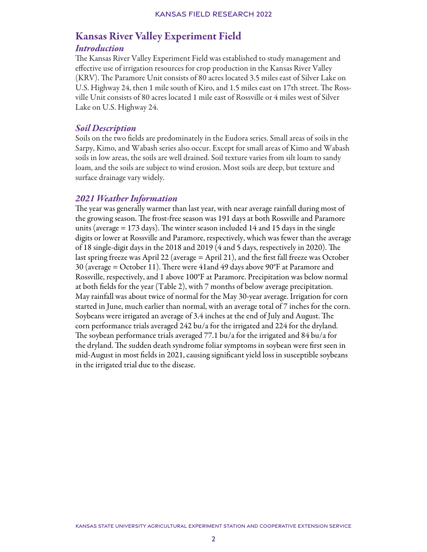### Kansas River Valley Experiment Field

#### *Introduction*

The Kansas River Valley Experiment Field was established to study management and effective use of irrigation resources for crop production in the Kansas River Valley (KRV). The Paramore Unit consists of 80 acres located 3.5 miles east of Silver Lake on U.S. Highway 24, then 1 mile south of Kiro, and 1.5 miles east on 17th street. The Rossville Unit consists of 80 acres located 1 mile east of Rossville or 4 miles west of Silver Lake on U.S. Highway 24.

#### *Soil Description*

Soils on the two fields are predominately in the Eudora series. Small areas of soils in the Sarpy, Kimo, and Wabash series also occur. Except for small areas of Kimo and Wabash soils in low areas, the soils are well drained. Soil texture varies from silt loam to sandy loam, and the soils are subject to wind erosion. Most soils are deep, but texture and surface drainage vary widely.

#### *2021 Weather Information*

The year was generally warmer than last year, with near average rainfall during most of the growing season. The frost-free season was 191 days at both Rossville and Paramore units (average = 173 days). The winter season included 14 and 15 days in the single digits or lower at Rossville and Paramore, respectively, which was fewer than the average of 18 single-digit days in the 2018 and 2019 (4 and 5 days, respectively in 2020). The last spring freeze was April 22 (average = April 21), and the first fall freeze was October 30 (average = October 11). There were 41and 49 days above 90°F at Paramore and Rossville, respectively, and 1 above 100°F at Paramore. Precipitation was below normal at both fields for the year (Table 2), with 7 months of below average precipitation. May rainfall was about twice of normal for the May 30-year average. Irrigation for corn started in June, much earlier than normal, with an average total of 7 inches for the corn. Soybeans were irrigated an average of 3.4 inches at the end of July and August. The corn performance trials averaged 242 bu/a for the irrigated and 224 for the dryland. The soybean performance trials averaged 77.1 bu/a for the irrigated and 84 bu/a for the dryland. The sudden death syndrome foliar symptoms in soybean were first seen in mid-August in most fields in 2021, causing significant yield loss in susceptible soybeans in the irrigated trial due to the disease.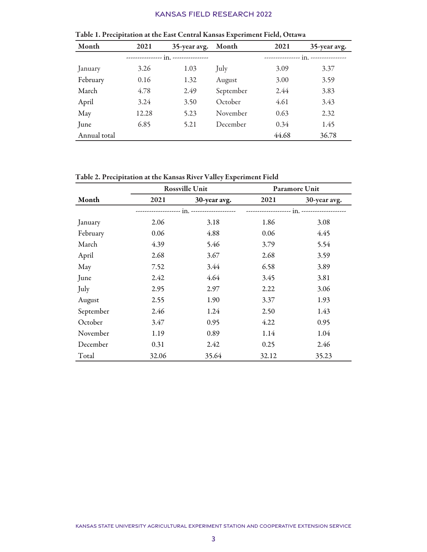| Month        | 2021  | 35-year avg.            | Month     | 2021  | 35-year avg.     |
|--------------|-------|-------------------------|-----------|-------|------------------|
|              |       | $in.$ ----------------- |           |       | $in.$ ---------- |
| January      | 3.26  | 1.03                    | July      | 3.09  | 3.37             |
| February     | 0.16  | 1.32                    | August    | 3.00  | 3.59             |
| March        | 4.78  | 2.49                    | September | 2.44  | 3.83             |
| April        | 3.24  | 3.50                    | October   | 4.61  | 3.43             |
| May          | 12.28 | 5.23                    | November  | 0.63  | 2.32             |
| June         | 6.85  | 5.21                    | December  | 0.34  | 1.45             |
| Annual total |       |                         |           | 44.68 | 36.78            |

Table 1. Precipitation at the East Central Kansas Experiment Field, Ottawa

Table 2. Precipitation at the Kansas River Valley Experiment Field

|           | <b>Rossville Unit</b> |              | <b>Paramore Unit</b> |              |  |
|-----------|-----------------------|--------------|----------------------|--------------|--|
| Month     | 2021                  | 30-year avg. | 2021                 | 30-year avg. |  |
|           |                       |              |                      |              |  |
| January   | 2.06                  | 3.18         | 1.86                 | 3.08         |  |
| February  | 0.06                  | 4.88         | 0.06                 | 4.45         |  |
| March     | 4.39                  | 5.46         | 3.79                 | 5.54         |  |
| April     | 2.68                  | 3.67         | 2.68                 | 3.59         |  |
| May       | 7.52                  | 3.44         | 6.58                 | 3.89         |  |
| June      | 2.42                  | 4.64         | 3.45                 | 3.81         |  |
| July      | 2.95                  | 2.97         | 2.22                 | 3.06         |  |
| August    | 2.55                  | 1.90         | 3.37                 | 1.93         |  |
| September | 2.46                  | 1.24         | 2.50                 | 1.43         |  |
| October   | 3.47                  | 0.95         | 4.22                 | 0.95         |  |
| November  | 1.19                  | 0.89         | 1.14                 | 1.04         |  |
| December  | 0.31                  | 2.42         | 0.25                 | 2.46         |  |
| Total     | 32.06                 | 35.64        | 32.12                | 35.23        |  |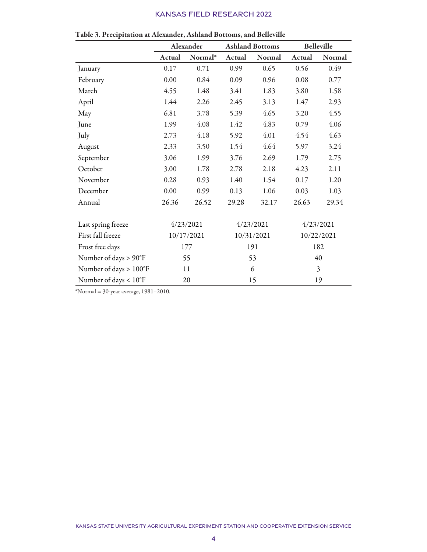|                                 | Alexander  |           | <b>Ashland Bottoms</b> |           | <b>Belleville</b> |           |
|---------------------------------|------------|-----------|------------------------|-----------|-------------------|-----------|
|                                 | Actual     | Normal*   | Actual                 | Normal    | Actual            | Normal    |
| January                         | 0.17       | 0.71      | 0.99                   | 0.65      | 0.56              | 0.49      |
| February                        | 0.00       | 0.84      | 0.09                   | 0.96      | 0.08              | 0.77      |
| March                           | 4.55       | 1.48      | 3.41                   | 1.83      | 3.80              | 1.58      |
| April                           | 1.44       | 2.26      | 2.45                   | 3.13      | 1.47              | 2.93      |
| May                             | 6.81       | 3.78      | 5.39                   | 4.65      | 3.20              | 4.55      |
| June                            | 1.99       | 4.08      | 1.42                   | 4.83      | 0.79              | 4.06      |
| July                            | 2.73       | 4.18      | 5.92                   | 4.01      | 4.54              | 4.63      |
| August                          | 2.33       | 3.50      | 1.54                   | 4.64      | 5.97              | 3.24      |
| September                       | 3.06       | 1.99      | 3.76                   | 2.69      | 1.79              | 2.75      |
| October                         | 3.00       | 1.78      | 2.78                   | 2.18      | 4.23              | 2.11      |
| November                        | 0.28       | 0.93      | 1.40                   | 1.54      | 0.17              | 1.20      |
| December                        | 0.00       | 0.99      | 0.13                   | 1.06      | 0.03              | 1.03      |
| Annual                          | 26.36      | 26.52     | 29.28                  | 32.17     | 26.63             | 29.34     |
| Last spring freeze              |            | 4/23/2021 |                        | 4/23/2021 |                   | 4/23/2021 |
| First fall freeze               | 10/17/2021 |           | 10/31/2021             |           | 10/22/2021        |           |
| Frost free days                 | 177        |           | 191                    |           |                   | 182       |
| Number of days > 90°F           | 55         |           | 53                     |           | 40                |           |
| Number of days > 100°F          |            | 11        | 6                      |           | 3                 |           |
| Number of days < $10^{\circ}$ F |            | 20        |                        | 15        | 19                |           |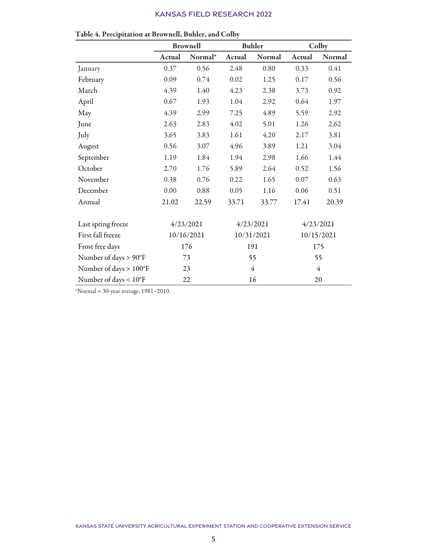|                        |            | <b>Brownell</b> | <b>Buhler</b> |           | Colby  |            |
|------------------------|------------|-----------------|---------------|-----------|--------|------------|
|                        | Actual     | Normal*         | Actual        | Normal    | Actual | Normal     |
| January                | 0.37       | 0.56            | 2.48          | 0.80      | 0.33   | 0.41       |
| February               | 0.09       | 0.74            | 0.02          | 1.25      | 0.17   | 0.56       |
| March                  | 4.39       | 1.40            | 4.23          | 2.38      | 3.73   | 0.92       |
| April                  | 0.67       | 1.93            | 1.04          | 2.92      | 0.64   | 1.97       |
| May                    | 4.39       | 2.99            | 7.25          | 4.89      | 5.59   | 2.92       |
| June                   | 2.63       | 2.83            | 4.02          | 5.01      | 1.26   | 2.62       |
| July                   | 3.65       | 3.83            | 1.61          | 4.20      | 2.17   | 3.81       |
| August                 | 0.56       | 3.07            | 4.96          | 3.89      | 1.21   | 3.04       |
| September              | 1.19       | 1.84            | 1.94          | 2.98      | 1.66   | 1.44       |
| October                | 2.70       | 1.76            | 5.89          | 2.64      | 0.52   | 1.56       |
| November               | 0.38       | 0.76            | 0.22          | 1.65      | 0.07   | 0.63       |
| December               | 0.00       | 0.88            | 0.05          | 1.16      | 0.06   | 0.51       |
| Annual                 | 21.02      | 22.59           | 33.71         | 33.77     | 17.41  | 20.39      |
| Last spring freeze     |            | 4/23/2021       |               | 4/23/2021 |        | 4/23/2021  |
| First fall freeze      | 10/16/2021 |                 | 10/31/2021    |           |        | 10/15/2021 |
| Frost free days        | 176        |                 | 191           |           | 175    |            |
| Number of days > 90°F  | 73         |                 | 55            |           | 55     |            |
| Number of days > 100°F |            | 23              | 4             |           | 4      |            |
| Number of days < 10°F  |            | 22              |               | 16        | 20     |            |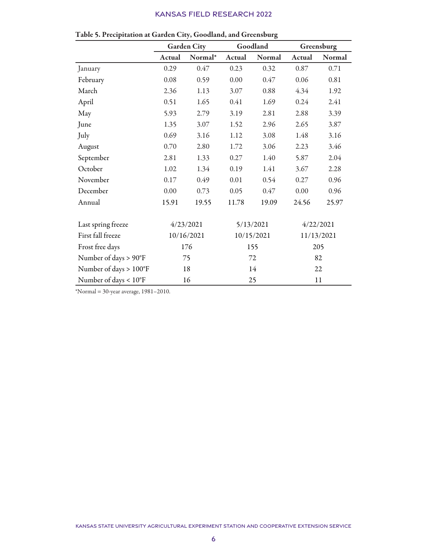|                        | <b>Garden City</b> |           | Goodland   |           | Greensburg |            |
|------------------------|--------------------|-----------|------------|-----------|------------|------------|
|                        | Actual             | Normal*   | Actual     | Normal    | Actual     | Normal     |
| January                | 0.29               | 0.47      | 0.23       | 0.32      | 0.87       | 0.71       |
| February               | 0.08               | 0.59      | 0.00       | 0.47      | 0.06       | 0.81       |
| March                  | 2.36               | 1.13      | 3.07       | 0.88      | 4.34       | 1.92       |
| April                  | 0.51               | 1.65      | 0.41       | 1.69      | 0.24       | 2.41       |
| May                    | 5.93               | 2.79      | 3.19       | 2.81      | 2.88       | 3.39       |
| June                   | 1.35               | 3.07      | 1.52       | 2.96      | 2.65       | 3.87       |
| July                   | 0.69               | 3.16      | 1.12       | 3.08      | 1.48       | 3.16       |
| August                 | 0.70               | 2.80      | 1.72       | 3.06      | 2.23       | 3.46       |
| September              | 2.81               | 1.33      | 0.27       | 1.40      | 5.87       | 2.04       |
| October                | 1.02               | 1.34      | 0.19       | 1.41      | 3.67       | 2.28       |
| November               | 0.17               | 0.49      | 0.01       | 0.54      | 0.27       | 0.96       |
| December               | 0.00               | 0.73      | 0.05       | 0.47      | $0.00\,$   | 0.96       |
| Annual                 | 15.91              | 19.55     | 11.78      | 19.09     | 24.56      | 25.97      |
| Last spring freeze     |                    | 4/23/2021 |            | 5/13/2021 |            | 4/22/2021  |
| First fall freeze      | 10/16/2021         |           | 10/15/2021 |           |            | 11/13/2021 |
| Frost free days        | 176                |           |            | 155       |            | 205        |
| Number of days > 90°F  | 75                 |           | 72         |           | 82         |            |
| Number of days > 100°F |                    | 18        | 14         |           | 22         |            |
| Number of days < 10°F  |                    | 16        |            | 25        | 11         |            |

| Table 5. Precipitation at Garden City, Goodland, and Greensburg |  |  |  |
|-----------------------------------------------------------------|--|--|--|
|-----------------------------------------------------------------|--|--|--|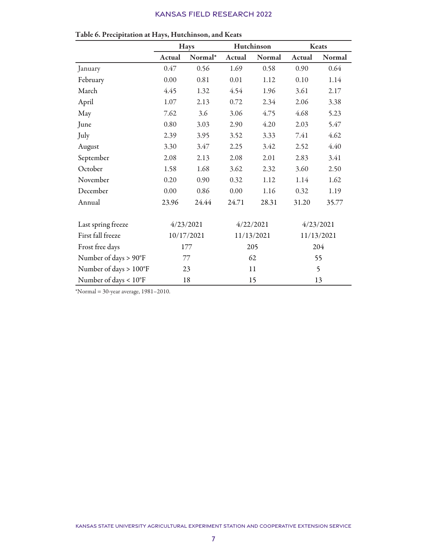|                        |            | <b>Hays</b> | Hutchinson |            | Keats      |           |
|------------------------|------------|-------------|------------|------------|------------|-----------|
|                        | Actual     | Normal*     | Actual     | Normal     | Actual     | Normal    |
| January                | $0.47\,$   | 0.56        | 1.69       | 0.58       | 0.90       | 0.64      |
| February               | 0.00       | 0.81        | 0.01       | 1.12       | 0.10       | 1.14      |
| March                  | 4.45       | 1.32        | 4.54       | 1.96       | 3.61       | 2.17      |
| April                  | 1.07       | 2.13        | 0.72       | 2.34       | 2.06       | 3.38      |
| May                    | 7.62       | 3.6         | 3.06       | 4.75       | 4.68       | 5.23      |
| June                   | 0.80       | 3.03        | 2.90       | 4.20       | 2.03       | 5.47      |
| July                   | 2.39       | 3.95        | 3.52       | 3.33       | 7.41       | 4.62      |
| August                 | 3.30       | 3.47        | 2.25       | 3.42       | 2.52       | 4.40      |
| September              | 2.08       | 2.13        | 2.08       | 2.01       | 2.83       | 3.41      |
| October                | 1.58       | 1.68        | 3.62       | 2.32       | 3.60       | 2.50      |
| November               | 0.20       | 0.90        | 0.32       | 1.12       | 1.14       | 1.62      |
| December               | 0.00       | 0.86        | 0.00       | 1.16       | 0.32       | 1.19      |
| Annual                 | 23.96      | 24.44       | 24.71      | 28.31      | 31.20      | 35.77     |
| Last spring freeze     |            | 4/23/2021   |            | 4/22/2021  |            | 4/23/2021 |
| First fall freeze      | 10/17/2021 |             |            | 11/13/2021 | 11/13/2021 |           |
| Frost free days        | 177        |             | 205        |            | 204        |           |
| Number of days > 90°F  | 77         |             | 62         |            | 55         |           |
| Number of days > 100°F |            | 23          |            | 11         | 5          |           |
| Number of days < 10°F  |            | 18          |            | 15         | 13         |           |

Table 6. Precipitation at Hays, Hutchinson, and Keats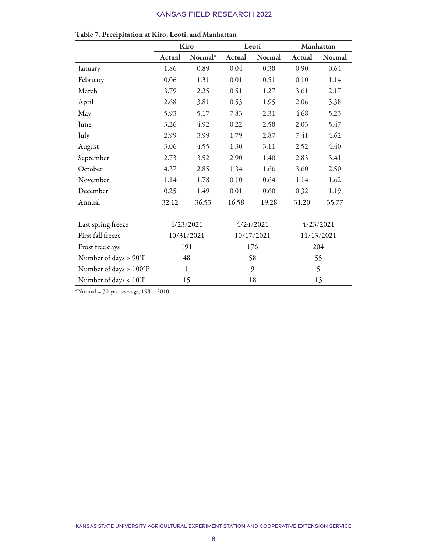|                        |            | Kiro         | Leoti      |        | Manhattan |            |
|------------------------|------------|--------------|------------|--------|-----------|------------|
|                        | Actual     | Normal*      | Actual     | Normal | Actual    | Normal     |
| January                | 1.86       | 0.89         | 0.04       | 0.38   | 0.90      | 0.64       |
| February               | 0.06       | 1.31         | 0.01       | 0.51   | 0.10      | 1.14       |
| March                  | 3.79       | 2.25         | 0.51       | 1.27   | 3.61      | 2.17       |
| April                  | 2.68       | 3.81         | 0.53       | 1.95   | 2.06      | 3.38       |
| May                    | 5.93       | 5.17         | 7.83       | 2.31   | 4.68      | 5.23       |
| June                   | 3.26       | 4.92         | 0.22       | 2.58   | 2.03      | 5.47       |
| July                   | 2.99       | 3.99         | 1.79       | 2.87   | 7.41      | 4.62       |
| August                 | 3.06       | 4.55         | 1.30       | 3.11   | 2.52      | 4.40       |
| September              | 2.73       | 3.52         | 2.90       | 1.40   | 2.83      | 3.41       |
| October                | 4.37       | 2.85         | 1.34       | 1.66   | 3.60      | 2.50       |
| November               | 1.14       | 1.78         | 0.10       | 0.64   | 1.14      | 1.62       |
| December               | 0.25       | 1.49         | 0.01       | 0.60   | 0.32      | 1.19       |
| Annual                 | 32.12      | 36.53        | 16.58      | 19.28  | 31.20     | 35.77      |
| Last spring freeze     | 4/23/2021  |              | 4/24/2021  |        | 4/23/2021 |            |
| First fall freeze      | 10/31/2021 |              | 10/17/2021 |        |           | 11/13/2021 |
| Frost free days        | 191        |              |            | 176    |           | 204        |
| Number of days > 90°F  | 48         |              | 58         |        | 55        |            |
| Number of days > 100°F |            | $\mathbf{1}$ | 9          |        | 5         |            |
| Number of days < 10°F  |            | 15           | 18         |        | 13        |            |

Table 7. Precipitation at Kiro, Leoti, and Manhattan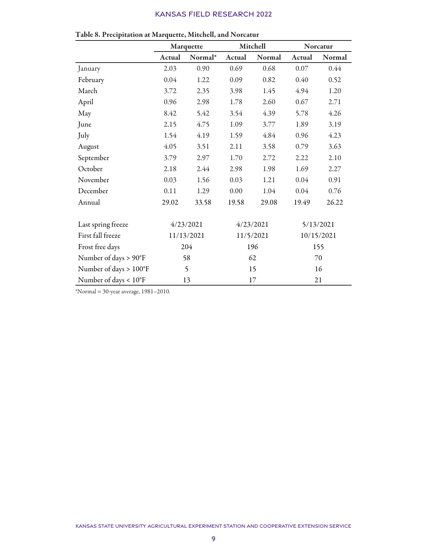|                                 | Marquette  |           | Mitchell  |           | Norcatur |            |
|---------------------------------|------------|-----------|-----------|-----------|----------|------------|
|                                 | Actual     | Normal*   | Actual    | Normal    | Actual   | Normal     |
| January                         | 2.03       | 0.90      | 0.69      | 0.68      | 0.07     | 0.44       |
| February                        | 0.04       | 1.22      | 0.09      | 0.82      | 0.40     | 0.52       |
| March                           | 3.72       | 2.35      | 3.98      | 1.45      | 4.94     | 1.20       |
| April                           | 0.96       | 2.98      | 1.78      | 2.60      | 0.67     | 2.71       |
| May                             | 8.42       | 5.42      | 3.54      | 4.39      | 5.78     | 4.26       |
| June                            | 2.15       | 4.75      | 1.09      | 3.77      | 1.89     | 3.19       |
| July                            | 1.54       | 4.19      | 1.59      | 4.84      | 0.96     | 4.23       |
| August                          | 4.05       | 3.51      | 2.11      | 3.58      | 0.79     | 3.63       |
| September                       | 3.79       | 2.97      | 1.70      | 2.72      | 2.22     | 2.10       |
| October                         | 2.18       | 2.44      | 2.98      | 1.98      | 1.69     | 2.27       |
| November                        | 0.03       | 1.56      | 0.03      | 1.21      | 0.04     | 0.91       |
| December                        | 0.11       | 1.29      | $0.00\,$  | 1.04      | 0.04     | 0.76       |
| Annual                          | 29.02      | 33.58     | 19.58     | 29.08     | 19.49    | 26.22      |
| Last spring freeze              |            | 4/23/2021 |           | 4/23/2021 |          | 5/13/2021  |
| First fall freeze               | 11/13/2021 |           | 11/5/2021 |           |          | 10/15/2021 |
| Frost free days                 | 204        |           |           | 196       |          | 155        |
| Number of days > 90°F           | 58         |           | 62        |           | 70       |            |
| Number of days > 100°F          |            | 5         | 15        |           | 16       |            |
| Number of days < $10^{\circ}$ F |            | 13        | 17        |           | 21       |            |

| Table 8. Precipitation at Marquette, Mitchell, and Norcatur |  |  |
|-------------------------------------------------------------|--|--|
|-------------------------------------------------------------|--|--|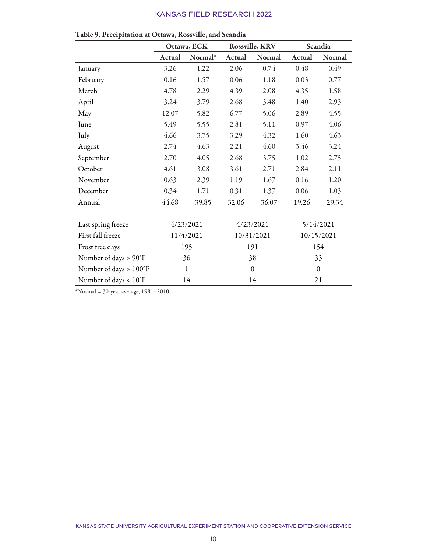|                        | Ottawa, ECK |         | Rossville, KRV   |               | Scandia      |        |
|------------------------|-------------|---------|------------------|---------------|--------------|--------|
|                        | Actual      | Normal* | <b>Actual</b>    | <b>Normal</b> | Actual       | Normal |
| January                | 3.26        | 1.22    | 2.06             | 0.74          | 0.48         | 0.49   |
| February               | 0.16        | 1.57    | 0.06             | 1.18          | 0.03         | 0.77   |
| March                  | 4.78        | 2.29    | 4.39             | 2.08          | 4.35         | 1.58   |
| April                  | 3.24        | 3.79    | 2.68             | 3.48          | 1.40         | 2.93   |
| May                    | 12.07       | 5.82    | 6.77             | 5.06          | 2.89         | 4.55   |
| June                   | 5.49        | 5.55    | 2.81             | 5.11          | 0.97         | 4.06   |
| July                   | 4.66        | 3.75    | 3.29             | 4.32          | 1.60         | 4.63   |
| August                 | 2.74        | 4.63    | 2.21             | 4.60          | 3.46         | 3.24   |
| September              | 2.70        | 4.05    | 2.68             | 3.75          | 1.02         | 2.75   |
| October                | 4.61        | 3.08    | 3.61             | 2.71          | 2.84         | 2.11   |
| November               | 0.63        | 2.39    | 1.19             | 1.67          | 0.16         | 1.20   |
| December               | 0.34        | 1.71    | 0.31             | 1.37          | 0.06         | 1.03   |
| Annual                 | 44.68       | 39.85   | 32.06            | 36.07         | 19.26        | 29.34  |
| Last spring freeze     | 4/23/2021   |         | 4/23/2021        |               | 5/14/2021    |        |
| First fall freeze      | 11/4/2021   |         | 10/31/2021       |               | 10/15/2021   |        |
| Frost free days        | 195         |         | 191              |               | 154          |        |
| Number of days > 90°F  | 36          |         | 38               |               | 33           |        |
| Number of days > 100°F | $\mathbf 1$ |         | $\boldsymbol{0}$ |               | $\mathbf{0}$ |        |
| Number of days < 10°F  | 14          |         | 14               |               | 21           |        |

| Table 9. Precipitation at Ottawa, Rossville, and Scandia |  |  |
|----------------------------------------------------------|--|--|
|----------------------------------------------------------|--|--|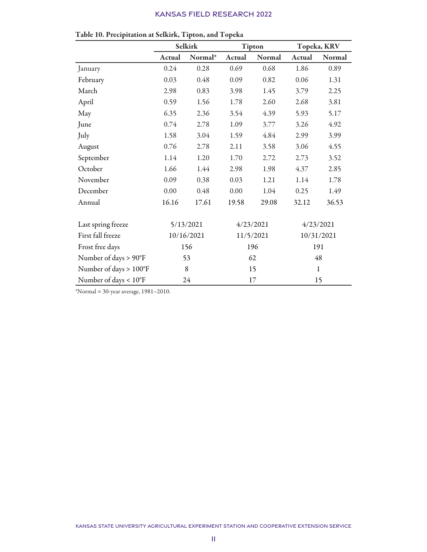|                                 | <b>Selkirk</b> |         | <b>Tipton</b> |        | Topeka, KRV  |        |
|---------------------------------|----------------|---------|---------------|--------|--------------|--------|
|                                 | Actual         | Normal* | Actual        | Normal | Actual       | Normal |
| January                         | 0.24           | 0.28    | 0.69          | 0.68   | 1.86         | 0.89   |
| February                        | 0.03           | 0.48    | 0.09          | 0.82   | 0.06         | 1.31   |
| March                           | 2.98           | 0.83    | 3.98          | 1.45   | 3.79         | 2.25   |
| April                           | 0.59           | 1.56    | 1.78          | 2.60   | 2.68         | 3.81   |
| May                             | 6.35           | 2.36    | 3.54          | 4.39   | 5.93         | 5.17   |
| June                            | 0.74           | 2.78    | 1.09          | 3.77   | 3.26         | 4.92   |
| July                            | 1.58           | 3.04    | 1.59          | 4.84   | 2.99         | 3.99   |
| August                          | 0.76           | 2.78    | 2.11          | 3.58   | 3.06         | 4.55   |
| September                       | 1.14           | 1.20    | 1.70          | 2.72   | 2.73         | 3.52   |
| October                         | 1.66           | 1.44    | 2.98          | 1.98   | 4.37         | 2.85   |
| November                        | 0.09           | 0.38    | 0.03          | 1.21   | 1.14         | 1.78   |
| December                        | 0.00           | 0.48    | 0.00          | 1.04   | 0.25         | 1.49   |
| Annual                          | 16.16          | 17.61   | 19.58         | 29.08  | 32.12        | 36.53  |
| Last spring freeze              | 5/13/2021      |         | 4/23/2021     |        | 4/23/2021    |        |
| First fall freeze               | 10/16/2021     |         | 11/5/2021     |        | 10/31/2021   |        |
| Frost free days                 | 156            |         | 196           |        | 191          |        |
| Number of days > 90°F           | 53             |         | 62            |        | 48           |        |
| Number of days > 100°F          | 8              |         | 15            |        | $\mathbf{1}$ |        |
| Number of days < $10^{\circ}$ F | 24             |         | 17            |        | 15           |        |

| Table 10. Precipitation at Selkirk, Tipton, and Topeka |  |
|--------------------------------------------------------|--|
|                                                        |  |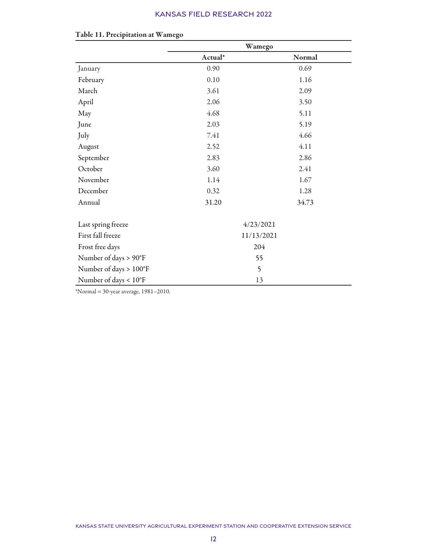|                        | Wamego     |        |  |
|------------------------|------------|--------|--|
|                        | Actual*    | Normal |  |
| January                | 0.90       | 0.69   |  |
| February               | 0.10       | 1.16   |  |
| March                  | 3.61       | 2.09   |  |
| April                  | 2.06       | 3.50   |  |
| May                    | 4.68       | 5.11   |  |
| June                   | 2.03       | 5.19   |  |
| July                   | 7.41       | 4.66   |  |
| August                 | 2.52       | 4.11   |  |
| September              | 2.83       | 2.86   |  |
| October                | 3.60       | 2.41   |  |
| November               | 1.14       | 1.67   |  |
| December               | 0.32       | 1.28   |  |
| Annual                 | 31.20      | 34.73  |  |
| Last spring freeze     | 4/23/2021  |        |  |
| First fall freeze      | 11/13/2021 |        |  |
| Frost free days        | 204        |        |  |
| Number of days > 90°F  | 55         |        |  |
| Number of days > 100°F | 5          |        |  |
| Number of days < 10°F  | 13         |        |  |

#### Table 11. Precipitation at Wamego